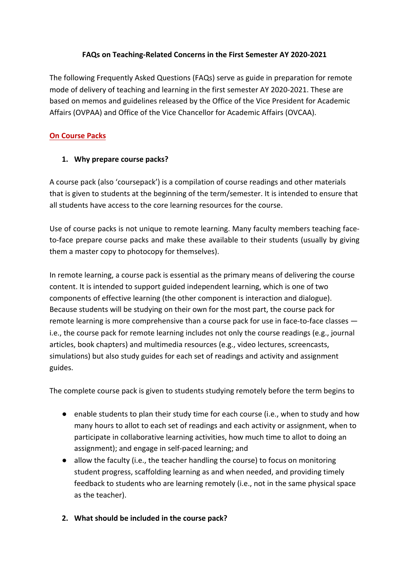### FAQs on Teaching-Related Concerns in the First Semester AY 2020-2021

The following Frequently Asked Questions (FAQs) serve as guide in preparation for remote mode of delivery of teaching and learning in the first semester AY 2020-2021. These are based on memos and guidelines released by the Office of the Vice President for Academic Affairs (OVPAA) and Office of the Vice Chancellor for Academic Affairs (OVCAA).

## **On Course Packs**

### 1. Why prepare course packs?

A course pack (also 'coursepack') is a compilation of course readings and other materials that is given to students at the beginning of the term/semester. It is intended to ensure that all students have access to the core learning resources for the course.

Use of course packs is not unique to remote learning. Many faculty members teaching faceto-face prepare course packs and make these available to their students (usually by giving them a master copy to photocopy for themselves).

In remote learning, a course pack is essential as the primary means of delivering the course content. It is intended to support guided independent learning, which is one of two components of effective learning (the other component is interaction and dialogue). Because students will be studying on their own for the most part, the course pack for remote learning is more comprehensive than a course pack for use in face-to-face classes  $$ i.e., the course pack for remote learning includes not only the course readings (e.g., journal articles, book chapters) and multimedia resources (e.g., video lectures, screencasts, simulations) but also study guides for each set of readings and activity and assignment guides. 

The complete course pack is given to students studying remotely before the term begins to

- enable students to plan their study time for each course (i.e., when to study and how many hours to allot to each set of readings and each activity or assignment, when to participate in collaborative learning activities, how much time to allot to doing an assignment); and engage in self-paced learning; and
- $\bullet$  allow the faculty (i.e., the teacher handling the course) to focus on monitoring student progress, scaffolding learning as and when needed, and providing timely feedback to students who are learning remotely (i.e., not in the same physical space as the teacher).
- **2.** What should be included in the course pack?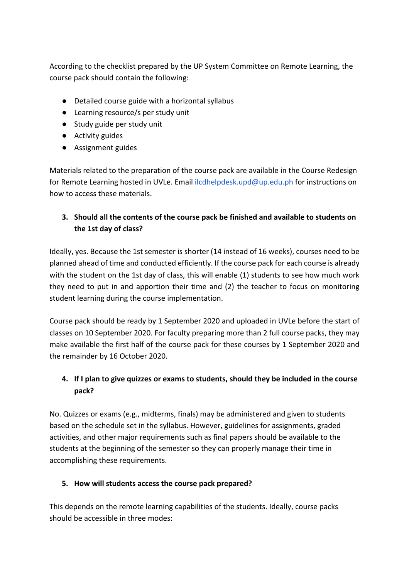According to the checklist prepared by the UP System Committee on Remote Learning, the course pack should contain the following:

- Detailed course guide with a horizontal syllabus
- Learning resource/s per study unit
- Study guide per study unit
- Activity guides
- Assignment guides

Materials related to the preparation of the course pack are available in the Course Redesign for Remote Learning hosted in UVLe. Email ilcdhelpdesk.upd@up.edu.ph for instructions on how to access these materials.

# **3.** Should all the contents of the course pack be finished and available to students on the 1st day of class?

Ideally, yes. Because the 1st semester is shorter (14 instead of 16 weeks), courses need to be planned ahead of time and conducted efficiently. If the course pack for each course is already with the student on the 1st day of class, this will enable (1) students to see how much work they need to put in and apportion their time and  $(2)$  the teacher to focus on monitoring student learning during the course implementation.

Course pack should be ready by 1 September 2020 and uploaded in UVLe before the start of classes on 10 September 2020. For faculty preparing more than 2 full course packs, they may make available the first half of the course pack for these courses by 1 September 2020 and the remainder by 16 October 2020.

# 4. If I plan to give quizzes or exams to students, should they be included in the course **pack?**

No. Quizzes or exams (e.g., midterms, finals) may be administered and given to students based on the schedule set in the syllabus. However, guidelines for assignments, graded activities, and other major requirements such as final papers should be available to the students at the beginning of the semester so they can properly manage their time in accomplishing these requirements.

## **5.** How will students access the course pack prepared?

This depends on the remote learning capabilities of the students. Ideally, course packs should be accessible in three modes: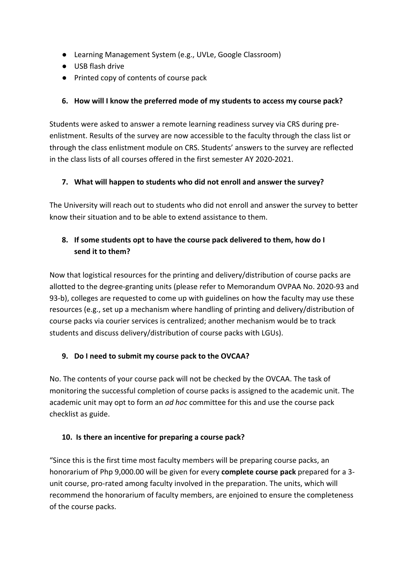- Learning Management System (e.g., UVLe, Google Classroom)
- USB flash drive
- Printed copy of contents of course pack

## **6.** How will I know the preferred mode of my students to access my course pack?

Students were asked to answer a remote learning readiness survey via CRS during preenlistment. Results of the survey are now accessible to the faculty through the class list or through the class enlistment module on CRS. Students' answers to the survey are reflected in the class lists of all courses offered in the first semester AY 2020-2021.

## **7.** What will happen to students who did not enroll and answer the survey?

The University will reach out to students who did not enroll and answer the survey to better know their situation and to be able to extend assistance to them.

# **8.** If some students opt to have the course pack delivered to them, how do I send it to them?

Now that logistical resources for the printing and delivery/distribution of course packs are allotted to the degree-granting units (please refer to Memorandum OVPAA No. 2020-93 and 93-b), colleges are requested to come up with guidelines on how the faculty may use these resources (e.g., set up a mechanism where handling of printing and delivery/distribution of course packs via courier services is centralized; another mechanism would be to track students and discuss delivery/distribution of course packs with LGUs).

## **9.** Do I need to submit my course pack to the OVCAA?

No. The contents of your course pack will not be checked by the OVCAA. The task of monitoring the successful completion of course packs is assigned to the academic unit. The academic unit may opt to form an *ad hoc* committee for this and use the course pack checklist as guide.

### **10.** Is there an incentive for preparing a course pack?

"Since this is the first time most faculty members will be preparing course packs, an honorarium of Php 9,000.00 will be given for every **complete course pack** prepared for a 3unit course, pro-rated among faculty involved in the preparation. The units, which will recommend the honorarium of faculty members, are enjoined to ensure the completeness of the course packs.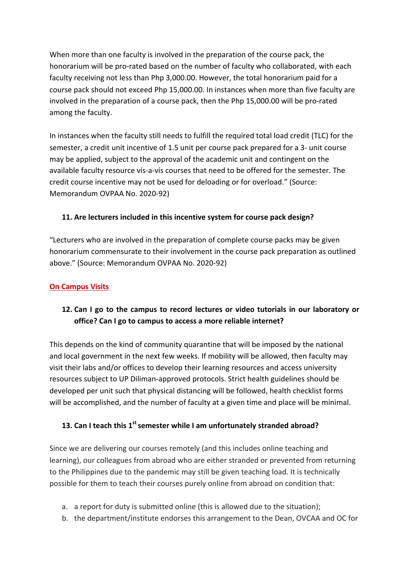When more than one faculty is involved in the preparation of the course pack, the honorarium will be pro-rated based on the number of faculty who collaborated, with each faculty receiving not less than Php 3,000.00. However, the total honorarium paid for a course pack should not exceed Php 15,000.00. In instances when more than five faculty are involved in the preparation of a course pack, then the Php 15,000.00 will be pro-rated among the faculty.

In instances when the faculty still needs to fulfill the required total load credit (TLC) for the semester, a credit unit incentive of 1.5 unit per course pack prepared for a 3- unit course may be applied, subject to the approval of the academic unit and contingent on the available faculty resource vís-a-vís courses that need to be offered for the semester. The credit course incentive may not be used for deloading or for overload." (Source: Memorandum OVPAA No. 2020-92)

## **11.** Are lecturers included in this incentive system for course pack design?

"Lecturers who are involved in the preparation of complete course packs may be given honorarium commensurate to their involvement in the course pack preparation as outlined above." (Source: Memorandum OVPAA No. 2020-92)

## **On Campus Visits**

# **12.** Can I go to the campus to record lectures or video tutorials in our laboratory or office? Can I go to campus to access a more reliable internet?

This depends on the kind of community quarantine that will be imposed by the national and local government in the next few weeks. If mobility will be allowed, then faculty may visit their labs and/or offices to develop their learning resources and access university resources subject to UP Diliman-approved protocols. Strict health guidelines should be developed per unit such that physical distancing will be followed, health checklist forms will be accomplished, and the number of faculty at a given time and place will be minimal.

### **13. Can I teach this 1<sup>st</sup> semester while I am unfortunately stranded abroad?**

Since we are delivering our courses remotely (and this includes online teaching and learning), our colleagues from abroad who are either stranded or prevented from returning to the Philippines due to the pandemic may still be given teaching load. It is technically possible for them to teach their courses purely online from abroad on condition that:

- a. a report for duty is submitted online (this is allowed due to the situation);
- b. the department/institute endorses this arrangement to the Dean, OVCAA and OC for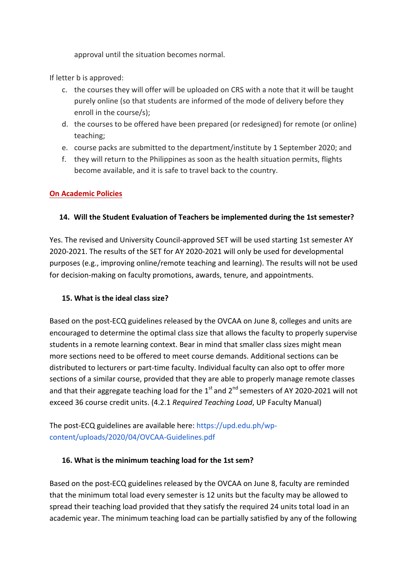approval until the situation becomes normal.

If letter **b** is approved:

- c. the courses they will offer will be uploaded on CRS with a note that it will be taught purely online (so that students are informed of the mode of delivery before they enroll in the course/s);
- d. the courses to be offered have been prepared (or redesigned) for remote (or online) teaching;
- e. course packs are submitted to the department/institute by 1 September 2020; and
- f. they will return to the Philippines as soon as the health situation permits, flights become available, and it is safe to travel back to the country.

## **On Academic Policies**

### **14.** Will the Student Evaluation of Teachers be implemented during the 1st semester?

Yes. The revised and University Council-approved SET will be used starting 1st semester AY 2020-2021. The results of the SET for AY 2020-2021 will only be used for developmental purposes (e.g., improving online/remote teaching and learning). The results will not be used for decision-making on faculty promotions, awards, tenure, and appointments.

### **15.** What is the ideal class size?

Based on the post-ECQ guidelines released by the OVCAA on June 8, colleges and units are encouraged to determine the optimal class size that allows the faculty to properly supervise students in a remote learning context. Bear in mind that smaller class sizes might mean more sections need to be offered to meet course demands. Additional sections can be distributed to lecturers or part-time faculty. Individual faculty can also opt to offer more sections of a similar course, provided that they are able to properly manage remote classes and that their aggregate teaching load for the  $1<sup>st</sup>$  and  $2<sup>nd</sup>$  semesters of AY 2020-2021 will not exceed 36 course credit units. (4.2.1 *Required Teaching Load*, UP Faculty Manual)

The post-ECQ guidelines are available here: https://upd.edu.ph/wpcontent/uploads/2020/04/OVCAA-Guidelines.pdf 

### **16. What is the minimum teaching load for the 1st sem?**

Based on the post-ECQ guidelines released by the OVCAA on June 8, faculty are reminded that the minimum total load every semester is 12 units but the faculty may be allowed to spread their teaching load provided that they satisfy the required 24 units total load in an academic year. The minimum teaching load can be partially satisfied by any of the following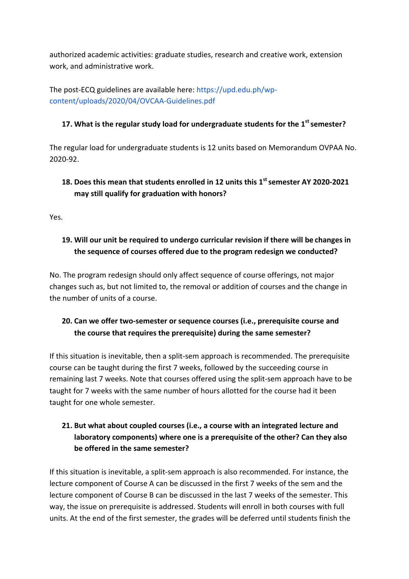authorized academic activities: graduate studies, research and creative work, extension work, and administrative work.

The post-ECQ guidelines are available here:  $https://upd.edu.ph/wp$ content/uploads/2020/04/OVCAA-Guidelines.pdf 

### **17.** What is the regular study load for undergraduate students for the 1<sup>st</sup> semester?

The regular load for undergraduate students is 12 units based on Memorandum OVPAA No. 2020-92. 

# 18. Does this mean that students enrolled in 12 units this 1<sup>st</sup> semester AY 2020-2021 may still qualify for graduation with honors?

Yes. 

# **19.** Will our unit be required to undergo curricular revision if there will be changes in the sequence of courses offered due to the program redesign we conducted?

No. The program redesign should only affect sequence of course offerings, not major changes such as, but not limited to, the removal or addition of courses and the change in the number of units of a course.

# **20. Can we offer two-semester or sequence courses (i.e., prerequisite course and** the course that requires the prerequisite) during the same semester?

If this situation is inevitable, then a split-sem approach is recommended. The prerequisite course can be taught during the first 7 weeks, followed by the succeeding course in remaining last 7 weeks. Note that courses offered using the split-sem approach have to be taught for 7 weeks with the same number of hours allotted for the course had it been taught for one whole semester.

# **21.** But what about coupled courses (i.e., a course with an integrated lecture and laboratory components) where one is a prerequisite of the other? Can they also be offered in the same semester?

If this situation is inevitable, a split-sem approach is also recommended. For instance, the lecture component of Course A can be discussed in the first 7 weeks of the sem and the lecture component of Course B can be discussed in the last 7 weeks of the semester. This way, the issue on prerequisite is addressed. Students will enroll in both courses with full units. At the end of the first semester, the grades will be deferred until students finish the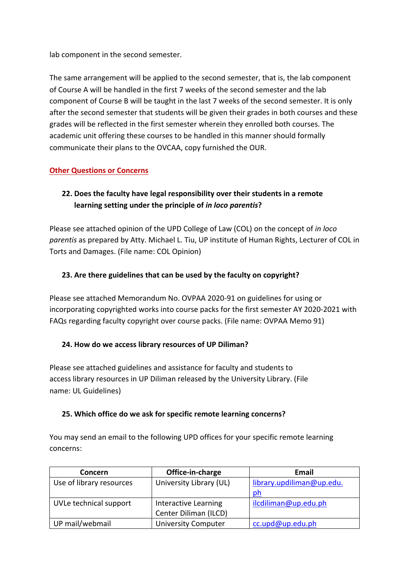lab component in the second semester.

The same arrangement will be applied to the second semester, that is, the lab component of Course A will be handled in the first 7 weeks of the second semester and the lab component of Course B will be taught in the last 7 weeks of the second semester. It is only after the second semester that students will be given their grades in both courses and these grades will be reflected in the first semester wherein they enrolled both courses. The academic unit offering these courses to be handled in this manner should formally communicate their plans to the OVCAA, copy furnished the OUR.

### **Other Questions or Concerns**

# **22.** Does the faculty have legal responsibility over their students in a remote **learning setting under the principle of** *in loco parentis***?**

Please see attached opinion of the UPD College of Law (COL) on the concept of *in loco* parentis as prepared by Atty. Michael L. Tiu, UP institute of Human Rights, Lecturer of COL in Torts and Damages. (File name: COL Opinion)

### **23.** Are there guidelines that can be used by the faculty on copyright?

Please see attached Memorandum No. OVPAA 2020-91 on guidelines for using or incorporating copyrighted works into course packs for the first semester AY 2020-2021 with FAQs regarding faculty copyright over course packs. (File name: OVPAA Memo 91)

### **24. How do we access library resources of UP Diliman?**

Please see attached guidelines and assistance for faculty and students to access library resources in UP Diliman released by the University Library. (File name: UL Guidelines)

### **25.** Which office do we ask for specific remote learning concerns?

You may send an email to the following UPD offices for your specific remote learning concerns: 

| <b>Concern</b>           | Office-in-charge            | Email                     |
|--------------------------|-----------------------------|---------------------------|
| Use of library resources | University Library (UL)     | library.updiliman@up.edu. |
|                          |                             | ph                        |
| UVLe technical support   | <b>Interactive Learning</b> | ilcdiliman@up.edu.ph      |
|                          | Center Diliman (ILCD)       |                           |
| UP mail/webmail          | <b>University Computer</b>  | cc.upd@up.edu.ph          |